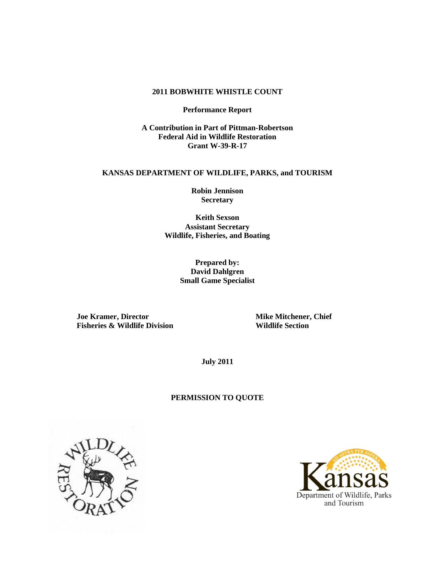# **2011 BOBWHITE WHISTLE COUNT**

**Performance Report**

**A Contribution in Part of Pittman-Robertson Federal Aid in Wildlife Restoration Grant W-39-R-17**

#### **KANSAS DEPARTMENT OF WILDLIFE, PARKS, and TOURISM**

**Robin Jennison Secretary**

**Keith Sexson Assistant Secretary Wildlife, Fisheries, and Boating**

> **Prepared by: David Dahlgren Small Game Specialist**

**Joe Kramer, Director Mike Mitchener, Chief Fisheries & Wildlife Division Wildlife Section**

**July 2011**

## **PERMISSION TO QUOTE**



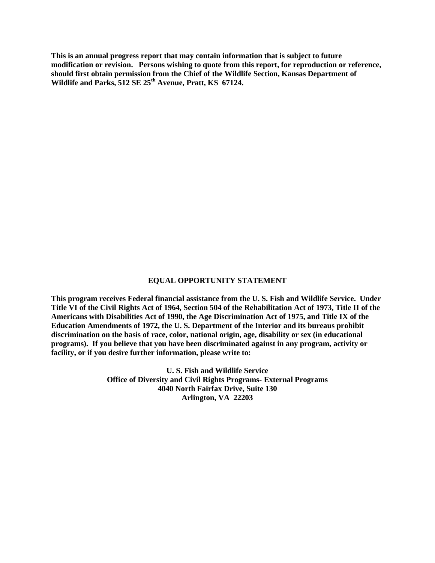**This is an annual progress report that may contain information that is subject to future modification or revision. Persons wishing to quote from this report, for reproduction or reference, should first obtain permission from the Chief of the Wildlife Section, Kansas Department of Wildlife and Parks, 512 SE 25th Avenue, Pratt, KS 67124.**

#### **EQUAL OPPORTUNITY STATEMENT**

**This program receives Federal financial assistance from the U. S. Fish and Wildlife Service. Under Title VI of the Civil Rights Act of 1964, Section 504 of the Rehabilitation Act of 1973, Title II of the Americans with Disabilities Act of 1990, the Age Discrimination Act of 1975, and Title IX of the Education Amendments of 1972, the U. S. Department of the Interior and its bureaus prohibit discrimination on the basis of race, color, national origin, age, disability or sex (in educational programs). If you believe that you have been discriminated against in any program, activity or facility, or if you desire further information, please write to:**

> **U. S. Fish and Wildlife Service Office of Diversity and Civil Rights Programs- External Programs 4040 North Fairfax Drive, Suite 130 Arlington, VA 22203**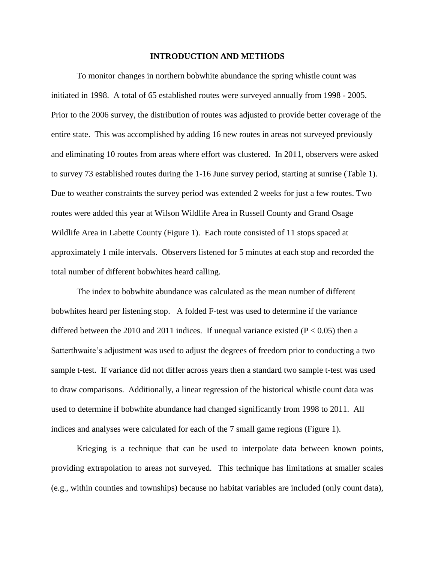## **INTRODUCTION AND METHODS**

To monitor changes in northern bobwhite abundance the spring whistle count was initiated in 1998. A total of 65 established routes were surveyed annually from 1998 - 2005. Prior to the 2006 survey, the distribution of routes was adjusted to provide better coverage of the entire state. This was accomplished by adding 16 new routes in areas not surveyed previously and eliminating 10 routes from areas where effort was clustered. In 2011, observers were asked to survey 73 established routes during the 1-16 June survey period, starting at sunrise (Table 1). Due to weather constraints the survey period was extended 2 weeks for just a few routes. Two routes were added this year at Wilson Wildlife Area in Russell County and Grand Osage Wildlife Area in Labette County (Figure 1). Each route consisted of 11 stops spaced at approximately 1 mile intervals. Observers listened for 5 minutes at each stop and recorded the total number of different bobwhites heard calling.

The index to bobwhite abundance was calculated as the mean number of different bobwhites heard per listening stop. A folded F-test was used to determine if the variance differed between the 2010 and 2011 indices. If unequal variance existed ( $P < 0.05$ ) then a Satterthwaite's adjustment was used to adjust the degrees of freedom prior to conducting a two sample t-test. If variance did not differ across years then a standard two sample t-test was used to draw comparisons. Additionally, a linear regression of the historical whistle count data was used to determine if bobwhite abundance had changed significantly from 1998 to 2011. All indices and analyses were calculated for each of the 7 small game regions (Figure 1).

Krieging is a technique that can be used to interpolate data between known points, providing extrapolation to areas not surveyed. This technique has limitations at smaller scales (e.g., within counties and townships) because no habitat variables are included (only count data),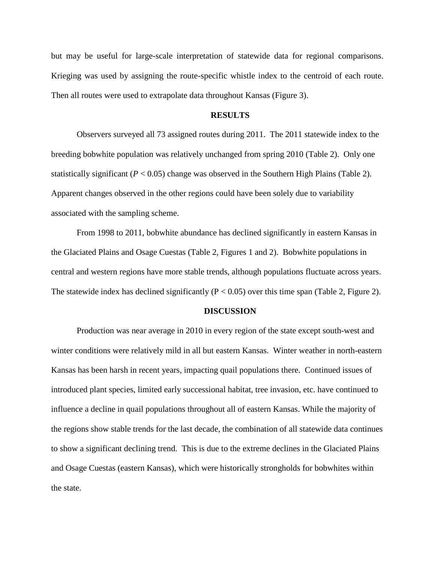but may be useful for large-scale interpretation of statewide data for regional comparisons. Krieging was used by assigning the route-specific whistle index to the centroid of each route. Then all routes were used to extrapolate data throughout Kansas (Figure 3).

# **RESULTS**

Observers surveyed all 73 assigned routes during 2011. The 2011 statewide index to the breeding bobwhite population was relatively unchanged from spring 2010 (Table 2). Only one statistically significant  $(P < 0.05)$  change was observed in the Southern High Plains (Table 2). Apparent changes observed in the other regions could have been solely due to variability associated with the sampling scheme.

From 1998 to 2011, bobwhite abundance has declined significantly in eastern Kansas in the Glaciated Plains and Osage Cuestas (Table 2, Figures 1 and 2). Bobwhite populations in central and western regions have more stable trends, although populations fluctuate across years. The statewide index has declined significantly ( $P < 0.05$ ) over this time span (Table 2, Figure 2).

### **DISCUSSION**

Production was near average in 2010 in every region of the state except south-west and winter conditions were relatively mild in all but eastern Kansas. Winter weather in north-eastern Kansas has been harsh in recent years, impacting quail populations there. Continued issues of introduced plant species, limited early successional habitat, tree invasion, etc. have continued to influence a decline in quail populations throughout all of eastern Kansas. While the majority of the regions show stable trends for the last decade, the combination of all statewide data continues to show a significant declining trend. This is due to the extreme declines in the Glaciated Plains and Osage Cuestas (eastern Kansas), which were historically strongholds for bobwhites within the state.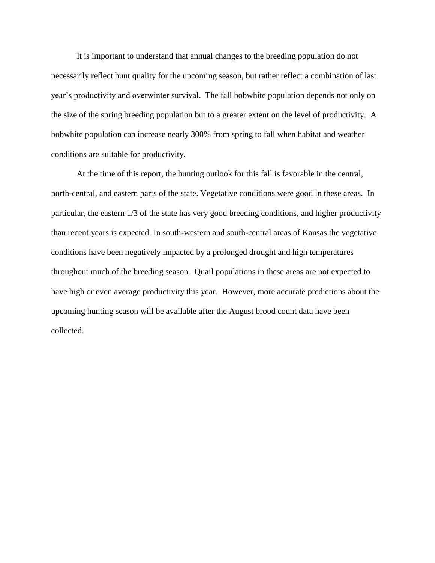It is important to understand that annual changes to the breeding population do not necessarily reflect hunt quality for the upcoming season, but rather reflect a combination of last year's productivity and overwinter survival. The fall bobwhite population depends not only on the size of the spring breeding population but to a greater extent on the level of productivity. A bobwhite population can increase nearly 300% from spring to fall when habitat and weather conditions are suitable for productivity.

At the time of this report, the hunting outlook for this fall is favorable in the central, north-central, and eastern parts of the state. Vegetative conditions were good in these areas. In particular, the eastern 1/3 of the state has very good breeding conditions, and higher productivity than recent years is expected. In south-western and south-central areas of Kansas the vegetative conditions have been negatively impacted by a prolonged drought and high temperatures throughout much of the breeding season. Quail populations in these areas are not expected to have high or even average productivity this year. However, more accurate predictions about the upcoming hunting season will be available after the August brood count data have been collected.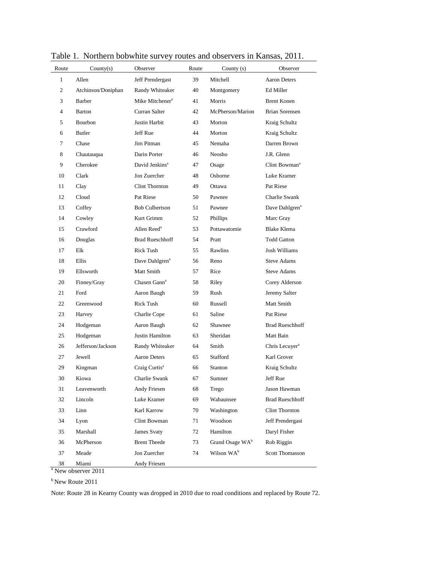| Route        | Country(s)         | Observer                    | Route | County $(s)$                | Observer                   |
|--------------|--------------------|-----------------------------|-------|-----------------------------|----------------------------|
| $\mathbf{1}$ | Allen              | Jeff Prendergast            | 39    | Mitchell                    | <b>Aaron Deters</b>        |
| 2            | Atchinson/Doniphan | Randy Whiteaker             | 40    | Montgomery                  | Ed Miller                  |
| 3            | Barber             | Mike Mitchener <sup>a</sup> | 41    | Morris                      | <b>Brent Konen</b>         |
| 4            | Barton             | Curran Salter               | 42    | McPherson/Marion            | <b>Brian Sorensen</b>      |
| 5            | Bourbon            | Justin Harbit               | 43    | Morton                      | Kraig Schultz              |
| 6            | <b>Butler</b>      | Jeff Rue                    | 44    | Morton                      | Kraig Schultz              |
| 7            | Chase              | Jim Pitman                  | 45    | Nemaha                      | Darren Brown               |
| 8            | Chautauqua         | Darin Porter                | 46    | <b>Neosho</b>               | J.R. Glenn                 |
| 9            | Cherokee           | David Jenkins <sup>a</sup>  | 47    | Osage                       | Clint Bowman <sup>a</sup>  |
| 10           | Clark              | Jon Zuercher                | 48    | Osborne                     | Luke Kramer                |
| 11           | Clay               | Clint Thornton              | 49    | Ottawa                      | Pat Riese                  |
| 12           | Cloud              | Pat Riese                   | 50    | Pawnee                      | Charlie Swank              |
| 13           | Coffey             | <b>Bob Culbertson</b>       | 51    | Pawnee                      | Dave Dahlgren <sup>a</sup> |
| 14           | Cowley             | Kurt Grimm                  | 52    | Phillips                    | Marc Gray                  |
| 15           | Crawford           | Allen Reed <sup>a</sup>     | 53    | Pottawatomie                | <b>Blake Klema</b>         |
| 16           | Douglas            | <b>Brad Rueschhoff</b>      | 54    | Pratt                       | <b>Todd Gatton</b>         |
| 17           | Elk                | <b>Rick Tush</b>            | 55    | Rawlins                     | Josh Williams              |
| 18           | Ellis              | Dave Dahlgren <sup>a</sup>  | 56    | Reno                        | <b>Steve Adams</b>         |
| 19           | Ellsworth          | Matt Smith                  | 57    | Rice                        | <b>Steve Adams</b>         |
| 20           | Finney/Gray        | Chasen Gann <sup>a</sup>    | 58    | Riley                       | Corey Alderson             |
| 21           | Ford               | Aaron Baugh                 | 59    | Rush                        | Jeremy Salter              |
| 22           | Greenwood          | Rick Tush                   | 60    | Russell                     | Matt Smith                 |
| 23           | Harvey             | Charlie Cope                | 61    | Saline                      | Pat Riese                  |
| 24           | Hodgeman           | Aaron Baugh                 | 62    | Shawnee                     | <b>Brad Rueschhoff</b>     |
| 25           | Hodgeman           | Justin Hamilton             | 63    | Sheridan                    | Matt Bain                  |
| 26           | Jefferson/Jackson  | Randy Whiteaker             | 64    | Smith                       | Chris Lecuyer <sup>a</sup> |
| 27           | Jewell             | <b>Aaron Deters</b>         | 65    | Stafford                    | Karl Grover                |
| 29           | Kingman            | Craig Curtis <sup>a</sup>   | 66    | <b>Stanton</b>              | Kraig Schultz              |
| 30           | Kiowa              | Charlie Swank               | 67    | Sumner                      | Jeff Rue                   |
| 31           | Leavenworth        | Andy Friesen                | 68    | Trego                       | Jason Hawman               |
| 32           | Lincoln            | Luke Kramer                 | 69    | Wabaunsee                   | <b>Brad Rueschhoff</b>     |
| 33           | Linn               | Karl Karrow                 | 70    | Washington                  | Clint Thornton             |
| 34           | Lyon               | Clint Bowman                | 71    | Woodson                     | Jeff Prendergast           |
| 35           | Marshall           | James Svaty                 | 72    | Hamilton                    | Daryl Fisher               |
| 36           | McPherson          | <b>Brent Theede</b>         | 73    | Grand Osage WA <sup>b</sup> | Rob Riggin                 |
| 37           | Meade              | Jon Zuercher                | 74    | Wilson WA <sup>b</sup>      | <b>Scott Thomasson</b>     |
| 38           | Miami              | Andy Friesen                |       |                             |                            |

Table 1. Northern bobwhite survey routes and observers in Kansas, 2011.

<sup>a</sup> New observer 2011

 $b$ New Route 2011

Note: Route 28 in Kearny County was dropped in 2010 due to road conditions and replaced by Route 72.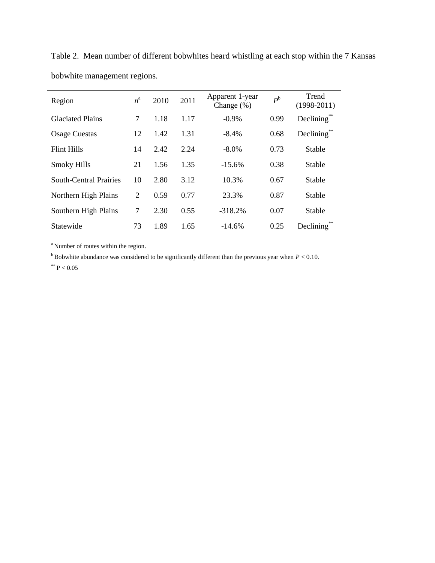| Region                        | $n^{\rm a}$ | 2010 | 2011 | Apparent 1-year<br>Change $(\%)$ | $P^{\rm b}$ | Trend<br>$(1998-2011)$ |
|-------------------------------|-------------|------|------|----------------------------------|-------------|------------------------|
| <b>Glaciated Plains</b>       | 7           | 1.18 | 1.17 | $-0.9\%$                         | 0.99        | Declining              |
| <b>Osage Cuestas</b>          | 12          | 1.42 | 1.31 | $-8.4\%$                         | 0.68        | Declining <sup>®</sup> |
| <b>Flint Hills</b>            | 14          | 2.42 | 2.24 | $-8.0\%$                         | 0.73        | Stable                 |
| <b>Smoky Hills</b>            | 21          | 1.56 | 1.35 | $-15.6%$                         | 0.38        | <b>Stable</b>          |
| <b>South-Central Prairies</b> | 10          | 2.80 | 3.12 | 10.3%                            | 0.67        | <b>Stable</b>          |
| Northern High Plains          | 2           | 0.59 | 0.77 | 23.3%                            | 0.87        | Stable                 |
| Southern High Plains          | 7           | 2.30 | 0.55 | $-318.2%$                        | 0.07        | Stable                 |
| Statewide                     | 73          | 1.89 | 1.65 | $-14.6%$                         | 0.25        | Declining              |

Table 2. Mean number of different bobwhites heard whistling at each stop within the 7 Kansas bobwhite management regions.

<sup>a</sup>Number of routes within the region.

 $<sup>b</sup>$  Bobwhite abundance was considered to be significantly different than the previous year when *P* < 0.10.</sup>

 $*$  P  $< 0.05$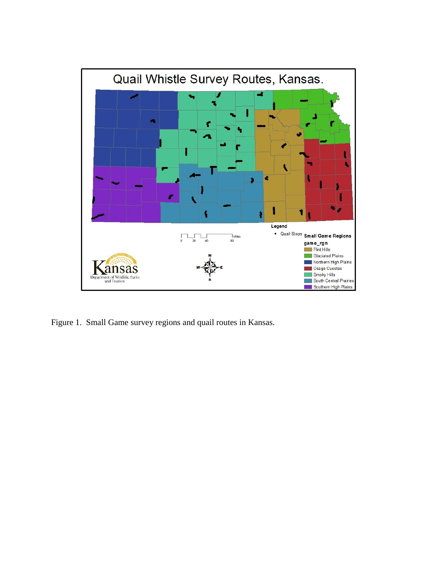

Figure 1. Small Game survey regions and quail routes in Kansas.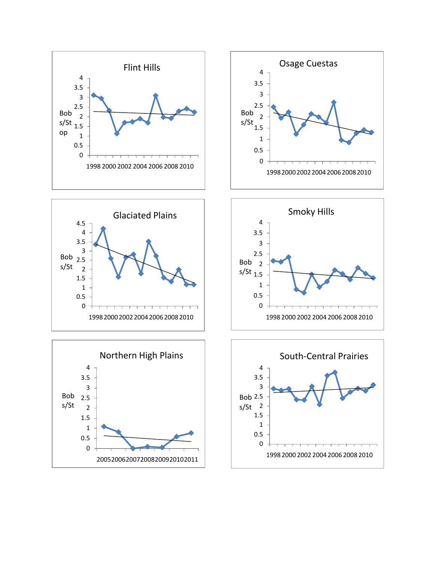









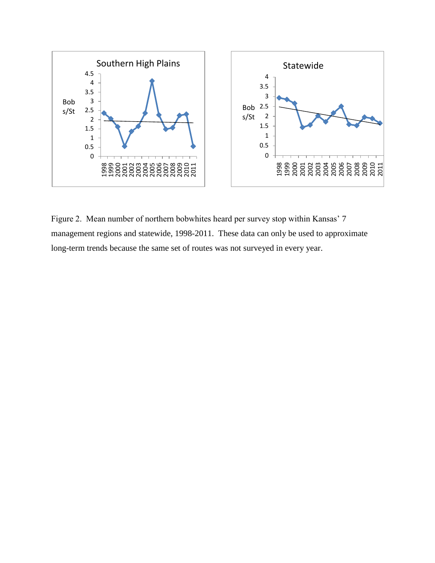

Figure 2. Mean number of northern bobwhites heard per survey stop within Kansas' 7 management regions and statewide, 1998-2011. These data can only be used to approximate long-term trends because the same set of routes was not surveyed in every year.